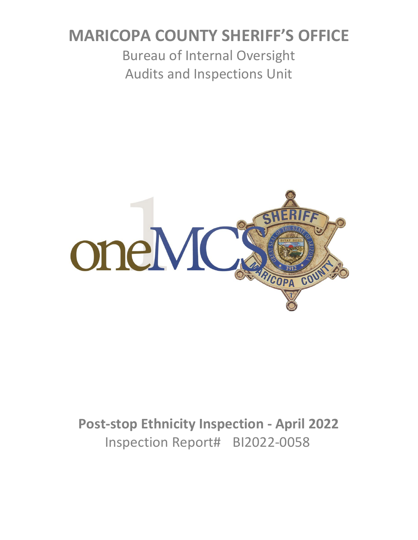# **MARICOPA COUNTY SHERIFF'S OFFICE**

Bureau of Internal Oversight Audits and Inspections Unit



# **Post-stop Ethnicity Inspection - April 2022** Inspection Report# BI2022-0058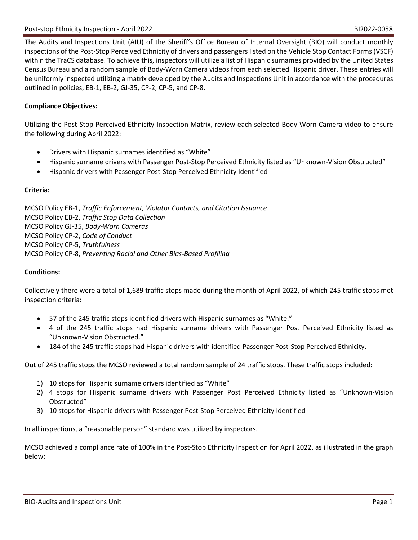The Audits and Inspections Unit (AIU) of the Sheriff's Office Bureau of Internal Oversight (BIO) will conduct monthly inspections of the Post-Stop Perceived Ethnicity of drivers and passengers listed on the Vehicle Stop Contact Forms (VSCF) within the TraCS database. To achieve this, inspectors will utilize a list of Hispanic surnames provided by the United States Census Bureau and a random sample of Body-Worn Camera videos from each selected Hispanic driver. These entries will be uniformly inspected utilizing a matrix developed by the Audits and Inspections Unit in accordance with the procedures outlined in policies, EB-1, EB-2, GJ-35, CP-2, CP-5, and CP-8.

## **Compliance Objectives:**

Utilizing the Post-Stop Perceived Ethnicity Inspection Matrix, review each selected Body Worn Camera video to ensure the following during April 2022:

- Drivers with Hispanic surnames identified as "White"
- Hispanic surname drivers with Passenger Post-Stop Perceived Ethnicity listed as "Unknown-Vision Obstructed"
- Hispanic drivers with Passenger Post-Stop Perceived Ethnicity Identified

### **Criteria:**

MCSO Policy EB-1, *Traffic Enforcement, Violator Contacts, and Citation Issuance* MCSO Policy EB-2, *Traffic Stop Data Collection* MCSO Policy GJ-35, *Body-Worn Cameras* MCSO Policy CP-2, *Code of Conduct* MCSO Policy CP-5, *Truthfulness* MCSO Policy CP-8, *Preventing Racial and Other Bias-Based Profiling*

### **Conditions:**

Collectively there were a total of 1,689 traffic stops made during the month of April 2022, of which 245 traffic stops met inspection criteria:

- 57 of the 245 traffic stops identified drivers with Hispanic surnames as "White."
- 4 of the 245 traffic stops had Hispanic surname drivers with Passenger Post Perceived Ethnicity listed as "Unknown-Vision Obstructed."
- 184 of the 245 traffic stops had Hispanic drivers with identified Passenger Post-Stop Perceived Ethnicity.

Out of 245 traffic stops the MCSO reviewed a total random sample of 24 traffic stops. These traffic stops included:

- 1) 10 stops for Hispanic surname drivers identified as "White"
- 2) 4 stops for Hispanic surname drivers with Passenger Post Perceived Ethnicity listed as "Unknown-Vision Obstructed"
- 3) 10 stops for Hispanic drivers with Passenger Post-Stop Perceived Ethnicity Identified

In all inspections, a "reasonable person" standard was utilized by inspectors.

MCSO achieved a compliance rate of 100% in the Post-Stop Ethnicity Inspection for April 2022, as illustrated in the graph below: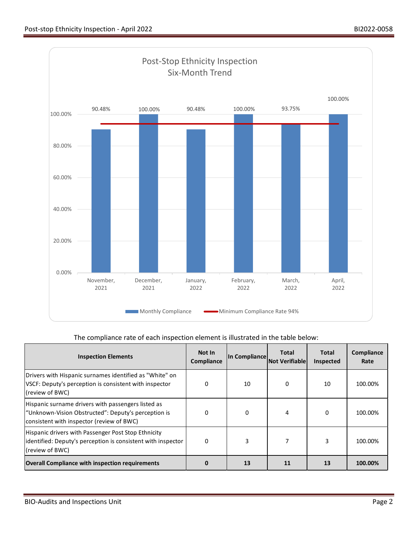

## The compliance rate of each inspection element is illustrated in the table below:

| <b>Inspection Elements</b>                                                                                                                             | Not In<br>Compliance | In Compliance | Total<br><b>Not Verifiable</b> | Total<br>Inspected | Compliance<br>Rate |
|--------------------------------------------------------------------------------------------------------------------------------------------------------|----------------------|---------------|--------------------------------|--------------------|--------------------|
| Drivers with Hispanic surnames identified as "White" on<br>VSCF: Deputy's perception is consistent with inspector<br>(review of BWC)                   | 0                    | 10            | 0                              | 10                 | 100.00%            |
| Hispanic surname drivers with passengers listed as<br>"Unknown-Vision Obstructed": Deputy's perception is<br>consistent with inspector (review of BWC) | $\Omega$             | $\Omega$      |                                | $\Omega$           | 100.00%            |
| Hispanic drivers with Passenger Post Stop Ethnicity<br>identified: Deputy's perception is consistent with inspector<br>(review of BWC)                 | 0                    | 3             |                                | 3                  | 100.00%            |
| <b>Overall Compliance with inspection requirements</b>                                                                                                 |                      | 13            | 11                             | 13                 | 100.00%            |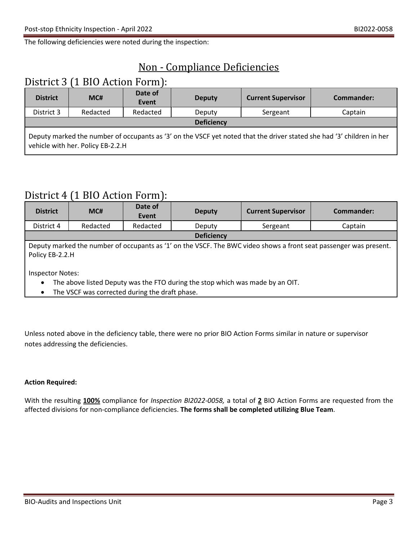The following deficiencies were noted during the inspection:

# Non - Compliance Deficiencies

# District 3 (1 BIO Action Form):

| <b>District</b>                                                                                                                                            | MC#      | Date of<br>Event | <b>Deputy</b> | <b>Current Supervisor</b> | Commander: |
|------------------------------------------------------------------------------------------------------------------------------------------------------------|----------|------------------|---------------|---------------------------|------------|
| District 3                                                                                                                                                 | Redacted | Redacted         | Deputy        | Sergeant                  | Captain    |
| <b>Deficiency</b>                                                                                                                                          |          |                  |               |                           |            |
| Deputy marked the number of occupants as '3' on the VSCF yet noted that the driver stated she had '3' children in her<br>vehicle with her. Policy EB-2.2.H |          |                  |               |                           |            |

## District 4 (1 BIO Action Form):

| <b>District</b>                                                                                                                                                              | MC#      | Date of<br>Event | <b>Deputy</b> | <b>Current Supervisor</b> | Commander: |
|------------------------------------------------------------------------------------------------------------------------------------------------------------------------------|----------|------------------|---------------|---------------------------|------------|
| District 4                                                                                                                                                                   | Redacted | Redacted         | Deputy        | Sergeant                  | Captain    |
| <b>Deficiency</b>                                                                                                                                                            |          |                  |               |                           |            |
| Deputy marked the number of occupants as '1' on the VSCF. The BWC video shows a front seat passenger was present.<br>Policy EB-2.2.H                                         |          |                  |               |                           |            |
| <b>Inspector Notes:</b><br>The above listed Deputy was the FTO during the stop which was made by an OIT.<br>$\bullet$<br>The VSCF was corrected during the draft phase.<br>٠ |          |                  |               |                           |            |

Unless noted above in the deficiency table, there were no prior BIO Action Forms similar in nature or supervisor notes addressing the deficiencies.

## **Action Required:**

With the resulting **100%** compliance for *Inspection BI2022-0058,* a total of **2** BIO Action Forms are requested from the affected divisions for non-compliance deficiencies. **The forms shall be completed utilizing Blue Team**.